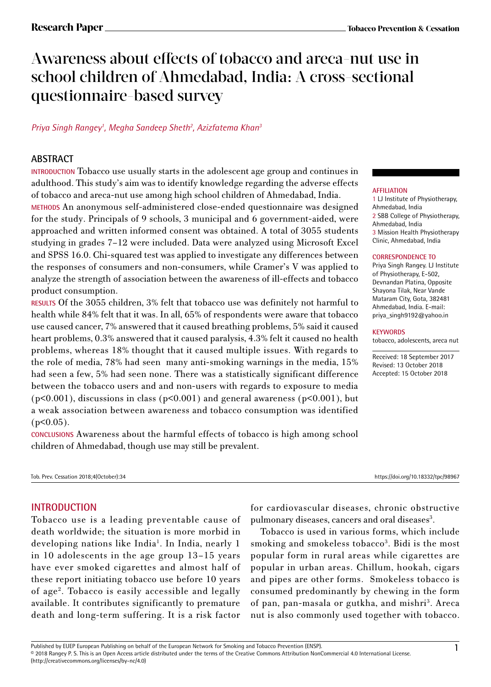# Awareness about effects of tobacco and areca-nut use in school children of Ahmedabad, India: A cross-sectional questionnaire-based survey

# *Priya Singh Rangey1 , Megha Sandeep Sheth2 , Azizfatema Khan3*

# **ABSTRACT**

**INTRODUCTION** Tobacco use usually starts in the adolescent age group and continues in adulthood. This study's aim was to identify knowledge regarding the adverse effects of tobacco and areca-nut use among high school children of Ahmedabad, India.

**METHODS** An anonymous self-administered close-ended questionnaire was designed for the study. Principals of 9 schools, 3 municipal and 6 government-aided, were approached and written informed consent was obtained. A total of 3055 students studying in grades 7–12 were included. Data were analyzed using Microsoft Excel and SPSS 16.0. Chi-squared test was applied to investigate any differences between the responses of consumers and non-consumers, while Cramer's V was applied to analyze the strength of association between the awareness of ill-effects and tobacco product consumption.

**RESULTS** Of the 3055 children, 3% felt that tobacco use was definitely not harmful to health while 84% felt that it was. In all, 65% of respondents were aware that tobacco use caused cancer, 7% answered that it caused breathing problems, 5% said it caused heart problems, 0.3% answered that it caused paralysis, 4.3% felt it caused no health problems, whereas 18% thought that it caused multiple issues. With regards to the role of media, 78% had seen many anti-smoking warnings in the media, 15% had seen a few, 5% had seen none. There was a statistically significant difference between the tobacco users and and non-users with regards to exposure to media (p<0.001), discussions in class (p<0.001) and general awareness (p<0.001), but a weak association between awareness and tobacco consumption was identified  $(p<0.05)$ .

**CONCLUSIONS** Awareness about the harmful effects of tobacco is high among school children of Ahmedabad, though use may still be prevalent.

Tob. Prev. Cessation 2018;4(October):34 https://doi.org/10.18332/tpc/98967

# **INTRODUCTION**

Tobacco use is a leading preventable cause of death worldwide; the situation is more morbid in developing nations like India<sup>1</sup>. In India, nearly 1 in 10 adolescents in the age group 13–15 years have ever smoked cigarettes and almost half of these report initiating tobacco use before 10 years of age2 . Tobacco is easily accessible and legally available. It contributes significantly to premature death and long-term suffering. It is a risk factor

for cardiovascular diseases, chronic obstructive pulmonary diseases, cancers and oral diseases<sup>3</sup>.

Tobacco is used in various forms, which include smoking and smokeless tobacco<sup>3</sup>. Bidi is the most popular form in rural areas while cigarettes are popular in urban areas. Chillum, hookah, cigars and pipes are other forms. Smokeless tobacco is consumed predominantly by chewing in the form of pan, pan-masala or gutkha, and mishri<sup>3</sup>. Areca nut is also commonly used together with tobacco.

#### **AFFILIATION**

1 LJ Institute of Physiotherapy, Ahmedabad, India 2 SBB College of Physiotherapy, Ahmedabad, India 3 Mission Health Physiotherapy Clinic, Ahmedabad, India

#### **CORRESPONDENCE TO**

Priya Singh Rangey. LJ Institute of Physiotherapy, E-502, Devnandan Platina, Opposite Shayona Tilak, Near Vande Mataram City, Gota, 382481 Ahmedabad, India. E-mail: priya\_singh9192@yahoo.in

#### **KEYWORDS**

tobacco, adolescents, areca nut

Received: 18 September 2017 Revised: 13 October 2018 Accepted: 15 October 2018

Published by EUEP European Publishing on behalf of the European Network for Smoking and Tobacco Prevention (ENSP).<br>© 2018 Rangey P. S. This is an Open Access article distributed under the terms of the Creative Commons Att (http://creativecommons.org/licenses/by-nc/4.0)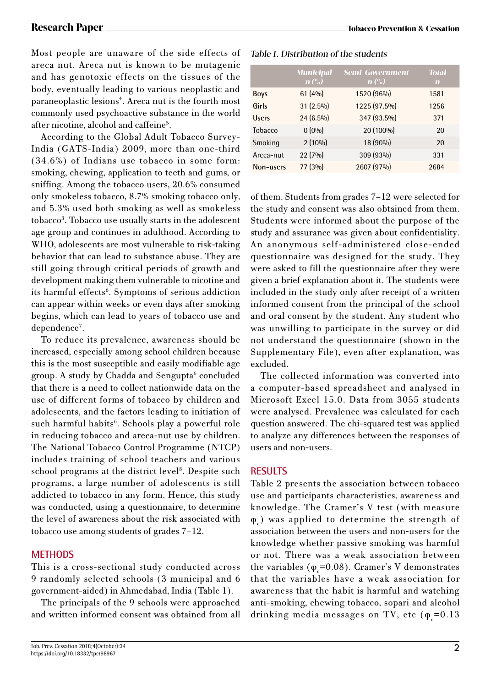Most people are unaware of the side effects of areca nut. Areca nut is known to be mutagenic and has genotoxic effects on the tissues of the body, eventually leading to various neoplastic and paraneoplastic lesions<sup>4</sup>. Areca nut is the fourth most commonly used psychoactive substance in the world after nicotine, alcohol and caffeine5 .

According to the Global Adult Tobacco Survey-India (GATS-India) 2009, more than one-third (34.6%) of Indians use tobacco in some form: smoking, chewing, application to teeth and gums, or sniffing. Among the tobacco users, 20.6% consumed only smokeless tobacco, 8.7% smoking tobacco only, and 5.3% used both smoking as well as smokeless tobacco<sup>3</sup>. Tobacco use usually starts in the adolescent age group and continues in adulthood. According to WHO, adolescents are most vulnerable to risk-taking behavior that can lead to substance abuse. They are still going through critical periods of growth and development making them vulnerable to nicotine and its harmful effects<sup>6</sup>. Symptoms of serious addiction can appear within weeks or even days after smoking begins, which can lead to years of tobacco use and dependence7 .

To reduce its prevalence, awareness should be increased, especially among school children because this is the most susceptible and easily modifiable age group. A study by Chadda and Sengupta<sup>6</sup> concluded that there is a need to collect nationwide data on the use of different forms of tobacco by children and adolescents, and the factors leading to initiation of such harmful habits<sup>6</sup>. Schools play a powerful role in reducing tobacco and areca-nut use by children. The National Tobacco Control Programme (NTCP) includes training of school teachers and various school programs at the district level<sup>8</sup>. Despite such programs, a large number of adolescents is still addicted to tobacco in any form. Hence, this study was conducted, using a questionnaire, to determine the level of awareness about the risk associated with tobacco use among students of grades 7–12.

# **METHODS**

This is a cross-sectional study conducted across 9 randomly selected schools (3 municipal and 6 government-aided) in Ahmedabad, India (Table 1).

The principals of the 9 schools were approached and written informed consent was obtained from all

## Table 1. Distribution of the students

|              | <b>Municipal</b><br>$\mathbf{n}$ $\left(\frac{o}{o}\right)$ | <b>Semi-Government</b><br>$\mathbf{n}$ $\left(\frac{9}{6}\right)$ | <b>Total</b><br>m |
|--------------|-------------------------------------------------------------|-------------------------------------------------------------------|-------------------|
| <b>Boys</b>  | 61(4%)                                                      | 1520 (96%)                                                        | 1581              |
| Girls        | 31 (2.5%)                                                   | 1225 (97.5%)                                                      | 1256              |
| <b>Users</b> | 24 (6.5%)                                                   | 347 (93.5%)                                                       | 371               |
| Tobacco      | $0(0\%)$                                                    | 20 (100%)                                                         | 20                |
| Smoking      | $2(10\%)$                                                   | 18 (90%)                                                          | 20                |
| Areca-nut    | 22 (7%)                                                     | 309 (93%)                                                         | 331               |
| Non-users    | 77 (3%)                                                     | 2607 (97%)                                                        | 2684              |

of them. Students from grades 7–12 were selected for the study and consent was also obtained from them. Students were informed about the purpose of the study and assurance was given about confidentiality. An anonymous self-administered close-ended questionnaire was designed for the study. They were asked to fill the questionnaire after they were given a brief explanation about it. The students were included in the study only after receipt of a written informed consent from the principal of the school and oral consent by the student. Any student who was unwilling to participate in the survey or did not understand the questionnaire (shown in the Supplementary File), even after explanation, was excluded.

The collected information was converted into a computer-based spreadsheet and analysed in Microsoft Excel 15.0. Data from 3055 students were analysed. Prevalence was calculated for each question answered. The chi-squared test was applied to analyze any differences between the responses of users and non-users.

# **RESULTS**

Table 2 presents the association between tobacco use and participants characteristics, awareness and knowledge. The Cramer's V test (with measure  $\varphi$ <sub>c</sub>) was applied to determine the strength of association between the users and non-users for the knowledge whether passive smoking was harmful or not. There was a weak association between the variables ( $\varphi$ <sub>c</sub>=0.08). Cramer's V demonstrates that the variables have a weak association for awareness that the habit is harmful and watching anti-smoking, chewing tobacco, sopari and alcohol drinking media messages on TV, etc ( $\varphi_c$ =0.13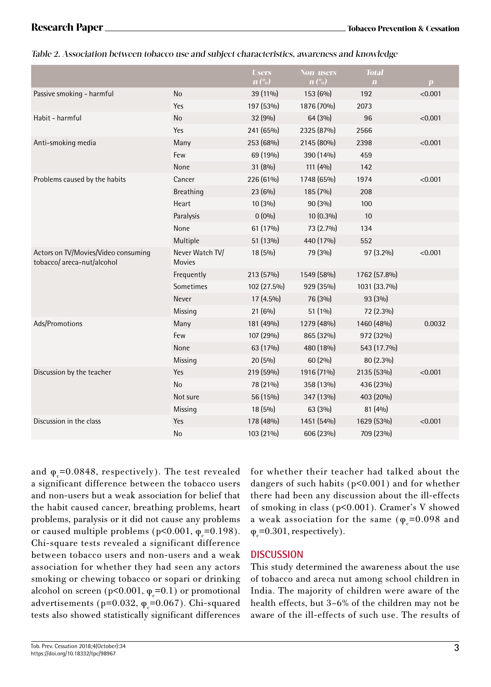### Table 2. Association between tobacco use and subject characteristics, awareness and knowledge

|                                                                   |                                  | <b>Users</b><br>$\mathbf{n}$ $\left(\frac{o}{o}\right)$ | <b>Non-users</b><br>$\mathbf{n}$ (%) | <b>Total</b><br>$\mathbf{m}$ | $\boldsymbol{p}$ |
|-------------------------------------------------------------------|----------------------------------|---------------------------------------------------------|--------------------------------------|------------------------------|------------------|
| Passive smoking - harmful                                         | <b>No</b>                        | 39 (11%)                                                | 153 (6%)                             | 192                          | < 0.001          |
|                                                                   | Yes                              | 197 (53%)                                               | 1876 (70%)                           | 2073                         |                  |
| Habit - harmful                                                   | <b>No</b>                        | 32 (9%)                                                 | 64 (3%)                              | 96                           | < 0.001          |
|                                                                   | Yes                              | 241 (65%)                                               | 2325 (87%)                           | 2566                         |                  |
| Anti-smoking media                                                | Many                             | 253 (68%)                                               | 2145 (80%)                           | 2398                         | < 0.001          |
|                                                                   | Few                              | 69 (19%)                                                | 390 (14%)                            | 459                          |                  |
|                                                                   | None                             | 31 (8%)                                                 | 111 $(40/0)$                         | 142                          |                  |
| Problems caused by the habits                                     | Cancer                           | 226 (61%)                                               | 1748 (65%)                           | 1974                         | < 0.001          |
|                                                                   | <b>Breathing</b>                 | 23 (6%)                                                 | 185 (7%)                             | 208                          |                  |
|                                                                   | Heart                            | 10 (3%)                                                 | 90 (3%)                              | 100                          |                  |
|                                                                   | Paralysis                        | $0(0\%)$                                                | 10 (0.3%)                            | 10                           |                  |
|                                                                   | None                             | 61 (17%)                                                | 73 (2.7%)                            | 134                          |                  |
|                                                                   | Multiple                         | 51 (13%)                                                | 440 (17%)                            | 552                          |                  |
| Actors on TV/Movies/Video consuming<br>tobacco/ areca-nut/alcohol | Never Watch TV/<br><b>Movies</b> | 18 (5%)                                                 | 79 (3%)                              | 97 (3.2%)                    | < 0.001          |
|                                                                   | Frequently                       | 213 (57%)                                               | 1549 (58%)                           | 1762 (57.8%)                 |                  |
|                                                                   | Sometimes                        | 102 (27.5%)                                             | 929 (35%)                            | 1031 (33.7%)                 |                  |
|                                                                   | Never                            | 17 (4.5%)                                               | 76 (3%)                              | 93 (3%)                      |                  |
|                                                                   | Missing                          | $21(6\%)$                                               | $51(1\%)$                            | 72 (2.3%)                    |                  |
| Ads/Promotions                                                    | Many                             | 181 (49%)                                               | 1279 (48%)                           | 1460 (48%)                   | 0.0032           |
|                                                                   | Few                              | 107 (29%)                                               | 865 (32%)                            | 972 (32%)                    |                  |
|                                                                   | None                             | 63 (17%)                                                | 480 (18%)                            | 543 (17.7%)                  |                  |
|                                                                   | Missing                          | 20 (5%)                                                 | 60 (2%)                              | 80 (2.3%)                    |                  |
| Discussion by the teacher                                         | Yes                              | 219 (59%)                                               | 1916 (71%)                           | 2135 (53%)                   | < 0.001          |
|                                                                   | <b>No</b>                        | 78 (21%)                                                | 358 (13%)                            | 436 (23%)                    |                  |
|                                                                   | Not sure                         | 56 (15%)                                                | 347 (13%)                            | 403 (20%)                    |                  |
|                                                                   | Missing                          | 18 (5%)                                                 | 63 (3%)                              | 81 (4%)                      |                  |
| Discussion in the class                                           | Yes                              | 178 (48%)                                               | 1451 (54%)                           | 1629 (53%)                   | < 0.001          |
|                                                                   | No                               | 103 (21%)                                               | 606 (23%)                            | 709 (23%)                    |                  |

and  $\varphi_{\rm c}$ =0.0848, respectively). The test revealed a significant difference between the tobacco users and non-users but a weak association for belief that the habit caused cancer, breathing problems, heart problems, paralysis or it did not cause any problems or caused multiple problems (p<0.001,  $\varphi_c$ =0.198). Chi-square tests revealed a significant difference between tobacco users and non-users and a weak association for whether they had seen any actors smoking or chewing tobacco or sopari or drinking alcohol on screen (p<0.001,  $\varphi_c$ =0.1) or promotional advertisements (p=0.032,  $\varphi_c$ =0.067). Chi-squared tests also showed statistically significant differences

for whether their teacher had talked about the dangers of such habits (p<0.001) and for whether there had been any discussion about the ill-effects of smoking in class (p<0.001). Cramer's V showed a weak association for the same ( $\varphi_c$ =0.098 and  $\varphi_{\rm c}$ =0.301, respectively).

# **DISCUSSION**

This study determined the awareness about the use of tobacco and areca nut among school children in India. The majority of children were aware of the health effects, but 3–6% of the children may not be aware of the ill-effects of such use. The results of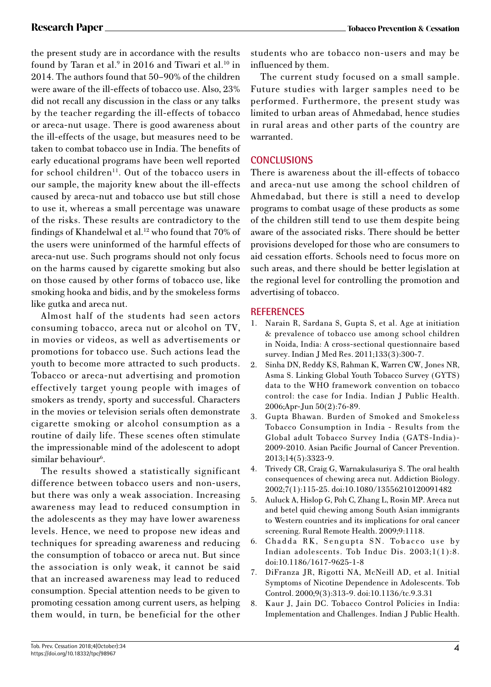the present study are in accordance with the results found by Taran et al. $9$  in 2016 and Tiwari et al. $^{10}$  in 2014. The authors found that 50–90% of the children were aware of the ill-effects of tobacco use. Also, 23% did not recall any discussion in the class or any talks by the teacher regarding the ill-effects of tobacco or areca-nut usage. There is good awareness about the ill-effects of the usage, but measures need to be taken to combat tobacco use in India. The benefits of early educational programs have been well reported for school children<sup>11</sup>. Out of the tobacco users in our sample, the majority knew about the ill-effects caused by areca-nut and tobacco use but still chose to use it, whereas a small percentage was unaware of the risks. These results are contradictory to the findings of Khandelwal et al.<sup>12</sup> who found that 70% of the users were uninformed of the harmful effects of areca-nut use. Such programs should not only focus on the harms caused by cigarette smoking but also on those caused by other forms of tobacco use, like smoking hooka and bidis, and by the smokeless forms like gutka and areca nut.

Almost half of the students had seen actors consuming tobacco, areca nut or alcohol on TV, in movies or videos, as well as advertisements or promotions for tobacco use. Such actions lead the youth to become more attracted to such products. Tobacco or areca-nut advertising and promotion effectively target young people with images of smokers as trendy, sporty and successful. Characters in the movies or television serials often demonstrate cigarette smoking or alcohol consumption as a routine of daily life. These scenes often stimulate the impressionable mind of the adolescent to adopt similar behaviour<sup>6</sup>.

The results showed a statistically significant difference between tobacco users and non-users, but there was only a weak association. Increasing awareness may lead to reduced consumption in the adolescents as they may have lower awareness levels. Hence, we need to propose new ideas and techniques for spreading awareness and reducing the consumption of tobacco or areca nut. But since the association is only weak, it cannot be said that an increased awareness may lead to reduced consumption. Special attention needs to be given to promoting cessation among current users, as helping them would, in turn, be beneficial for the other

The current study focused on a small sample. Future studies with larger samples need to be performed. Furthermore, the present study was limited to urban areas of Ahmedabad, hence studies in rural areas and other parts of the country are warranted.

# **CONCLUSIONS**

There is awareness about the ill-effects of tobacco and areca-nut use among the school children of Ahmedabad, but there is still a need to develop programs to combat usage of these products as some of the children still tend to use them despite being aware of the associated risks. There should be better provisions developed for those who are consumers to aid cessation efforts. Schools need to focus more on such areas, and there should be better legislation at the regional level for controlling the promotion and advertising of tobacco.

# **REFERENCES**

- 1. Narain R, Sardana S, Gupta S, et al. Age at initiation & prevalence of tobacco use among school children in Noida, India: A cross-sectional questionnaire based survey. Indian J Med Res. 2011;133(3):300-7.
- 2. Sinha DN, Reddy KS, Rahman K, Warren CW, Jones NR, Asma S. Linking Global Youth Tobacco Survey (GYTS) data to the WHO framework convention on tobacco control: the case for India. Indian J Public Health. 2006;Apr-Jun 50(2):76-89.
- 3. Gupta Bhawan. Burden of Smoked and Smokeless Tobacco Consumption in India - Results from the Global adult Tobacco Survey India (GATS-India)- 2009-2010. Asian Pacific Journal of Cancer Prevention. 2013;14(5):3323-9.
- 4. Trivedy CR, Craig G, Warnakulasuriya S. The oral health consequences of chewing areca nut. Addiction Biology. 2002;7(1):115-25. doi:10.1080/13556210120091482
- 5. Auluck A, Hislop G, Poh C, Zhang L, Rosin MP. Areca nut and betel quid chewing among South Asian immigrants to Western countries and its implications for oral cancer screening. Rural Remote Health. 2009;9:1118.
- 6. Chadda RK, Sengupta SN. Tobacco use by Indian adolescents. Tob Induc Dis. 2003;1(1):8. doi:10.1186/1617-9625-1-8
- 7. DiFranza JR, Rigotti NA, McNeill AD, et al. Initial Symptoms of Nicotine Dependence in Adolescents. Tob Control. 2000;9(3):313-9. doi:10.1136/tc.9.3.31
- 8. Kaur J, Jain DC. Tobacco Control Policies in India: Implementation and Challenges. Indian J Public Health.